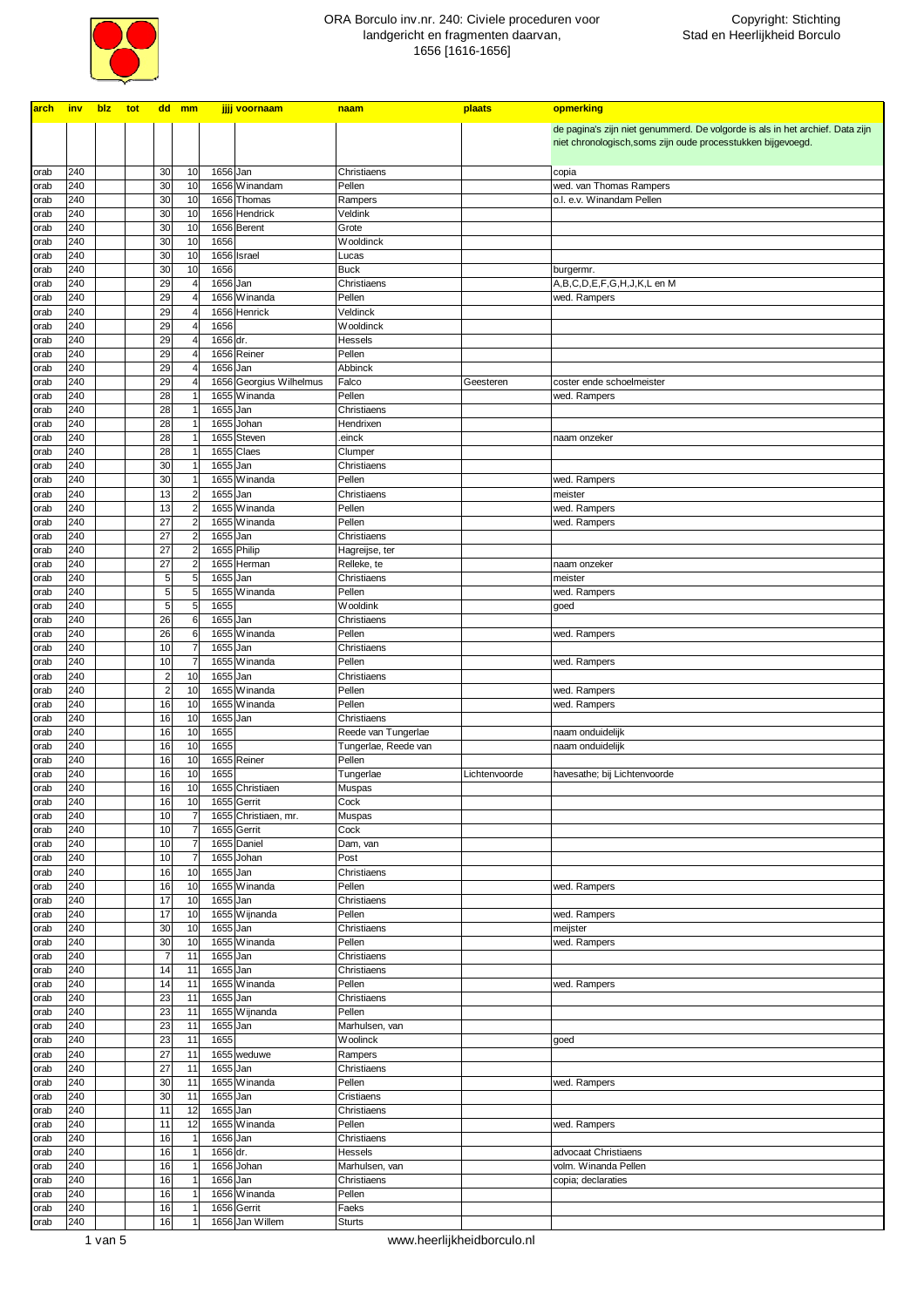

| arch         | inv        | blz | tot |                                  | dd mm                                              |                       | jjjj voornaam                       | naam                                        | plaats        | opmerking                                                                     |
|--------------|------------|-----|-----|----------------------------------|----------------------------------------------------|-----------------------|-------------------------------------|---------------------------------------------|---------------|-------------------------------------------------------------------------------|
|              |            |     |     |                                  |                                                    |                       |                                     |                                             |               | de pagina's zijn niet genummerd. De volgorde is als in het archief. Data zijn |
|              |            |     |     |                                  |                                                    |                       |                                     |                                             |               | niet chronologisch, soms zijn oude processtukken bijgevoegd.                  |
|              |            |     |     |                                  |                                                    |                       |                                     |                                             |               |                                                                               |
| orab<br>orab | 240<br>240 |     |     | 30<br>30                         | 10<br>10                                           | 1656 Jan              | 1656 Winandam                       | Christiaens<br>Pellen                       |               | copia<br>wed. van Thomas Rampers                                              |
| orab         | 240        |     |     | 30                               | 10                                                 |                       | 1656 Thomas                         | Rampers                                     |               | o.l. e.v. Winandam Pellen                                                     |
| orab         | 240        |     |     | 30                               | 10                                                 |                       | 1656 Hendrick                       | Veldink                                     |               |                                                                               |
| orab         | 240        |     |     | 30                               | 10                                                 |                       | 1656 Berent                         | Grote                                       |               |                                                                               |
| orab         | 240        |     |     | 30                               | 10                                                 | 1656                  |                                     | Wooldinck                                   |               |                                                                               |
| orab<br>orab | 240<br>240 |     |     | 30<br>30                         | 10<br>10                                           | 1656                  | 1656 Israel                         | Lucas<br><b>Buck</b>                        |               | burgermr.                                                                     |
| orab         | 240        |     |     | 29                               | $\overline{4}$                                     | 1656 Jan              |                                     | Christiaens                                 |               | A,B,C,D,E,F,G,H,J,K,L en M                                                    |
| orab         | 240        |     |     | 29                               | $\overline{4}$                                     |                       | 1656 Winanda                        | Pellen                                      |               | wed. Rampers                                                                  |
| orab         | 240        |     |     | 29                               | $\overline{4}$                                     |                       | 1656 Henrick                        | Veldinck                                    |               |                                                                               |
| orab         | 240<br>240 |     |     | 29<br>29                         | $\overline{4}$<br>$\overline{4}$                   | 1656<br>1656 dr.      |                                     | Wooldinck                                   |               |                                                                               |
| orab<br>orab | 240        |     |     | 29                               | $\overline{4}$                                     |                       | 1656 Reiner                         | Hessels<br>Pellen                           |               |                                                                               |
| orab         | 240        |     |     | 29                               | $\overline{4}$                                     | $\overline{1656}$ Jan |                                     | Abbinck                                     |               |                                                                               |
| orab         | 240        |     |     | 29                               | $\overline{4}$                                     |                       | 1656 Georgius Wilhelmus             | Falco                                       | Geesteren     | coster ende schoelmeister                                                     |
| orab         | 240        |     |     | 28                               | $\overline{1}$                                     |                       | 1655 Winanda                        | Pellen                                      |               | wed. Rampers                                                                  |
| orab<br>orab | 240<br>240 |     |     | 28<br>28                         | 1<br>$\overline{1}$                                | 1655 Jan              | 1655 Johan                          | Christiaens<br>Hendrixen                    |               |                                                                               |
| orab         | 240        |     |     | 28                               | $\overline{1}$                                     |                       | 1655 Steven                         | einck                                       |               | naam onzeker                                                                  |
| orab         | 240        |     |     | 28                               | $\overline{1}$                                     |                       | 1655 Claes                          | Clumper                                     |               |                                                                               |
| orab         | 240        |     |     | 30                               | $\overline{1}$                                     | 1655 Jan              |                                     | Christiaens                                 |               |                                                                               |
| orab         | 240        |     |     | 30                               | $\overline{1}$                                     |                       | 1655 Winanda                        | Pellen                                      |               | wed. Rampers                                                                  |
| orab<br>orab | 240<br>240 |     |     | 13<br>13                         | $\overline{\mathbf{c}}$<br>$\overline{\mathbf{c}}$ | 1655 Jan              | 1655 Winanda                        | Christiaens<br>Pellen                       |               | meister<br>wed. Rampers                                                       |
| orab         | 240        |     |     | 27                               | $\overline{\mathbf{c}}$                            |                       | 1655 Winanda                        | Pellen                                      |               | wed. Rampers                                                                  |
| orab         | 240        |     |     | 27                               | $\overline{\mathbf{c}}$                            | 1655 Jan              |                                     | Christiaens                                 |               |                                                                               |
| orab         | 240        |     |     | 27                               | $\overline{2}$                                     |                       | 1655 Philip                         | Hagreijse, ter                              |               |                                                                               |
| orab         | 240        |     |     | 27                               | $\overline{\mathbf{c}}$                            |                       | 1655 Herman                         | Relleke, te                                 |               | naam onzeker                                                                  |
| orab<br>orab | 240<br>240 |     |     | $\overline{5}$<br>$\overline{5}$ | 5<br>5                                             | 1655 Jan              | 1655 Winanda                        | Christiaens<br>Pellen                       |               | meister<br>wed. Rampers                                                       |
| orab         | 240        |     |     | 5                                | 5                                                  | 1655                  |                                     | <b>Wooldink</b>                             |               | goed                                                                          |
| orab         | 240        |     |     | 26                               | 6                                                  | 1655 Jan              |                                     | Christiaens                                 |               |                                                                               |
| orab         | 240        |     |     | 26                               | 6                                                  |                       | 1655 Winanda                        | Pellen                                      |               | wed. Rampers                                                                  |
| orab         | 240<br>240 |     |     | 10                               | $\overline{7}$<br>$\overline{7}$                   | 1655 Jan              |                                     | Christiaens<br>Pellen                       |               |                                                                               |
| orab<br>orab | 240        |     |     | 10<br>$\overline{c}$             | 10                                                 | 1655 Jan              | 1655 Winanda                        | Christiaens                                 |               | wed. Rampers                                                                  |
| orab         | 240        |     |     | $\overline{a}$                   | 10                                                 |                       | 1655 Winanda                        | Pellen                                      |               | wed. Rampers                                                                  |
| orab         | 240        |     |     | 16                               | 10                                                 |                       | 1655 Winanda                        | Pellen                                      |               | wed. Rampers                                                                  |
| orab         | 240        |     |     | 16                               | 10                                                 | 1655 Jan              |                                     | Christiaens                                 |               |                                                                               |
| orab<br>orab | 240<br>240 |     |     | 16<br>16                         | 10<br>10                                           | 1655<br>1655          |                                     | Reede van Tungerlae<br>Tungerlae, Reede van |               | naam onduidelijk<br>naam onduidelijk                                          |
| orab         | 240        |     |     | 16                               | 10                                                 |                       | 1655 Reiner                         | Pellen                                      |               |                                                                               |
| orab         | 240        |     |     | 16                               | 10                                                 | 1655                  |                                     | Tungerlae                                   | Lichtenvoorde | havesathe; bij Lichtenvoorde                                                  |
| orab         | 240        |     |     | 16                               | 10                                                 |                       | 1655 Christiaen                     | Muspas                                      |               |                                                                               |
| orab         | 240        |     |     | 16                               | 10                                                 |                       | 1655 Gerrit                         | Cock                                        |               |                                                                               |
| orab<br>orab | 240<br>240 |     |     | 10<br>10                         | $\overline{7}$<br>$\overline{7}$                   |                       | 1655 Christiaen, mr.<br>1655 Gerrit | Muspas<br>Cock                              |               |                                                                               |
| orab         | 240        |     |     | 10                               | $\overline{7}$                                     |                       | 1655 Daniel                         | Dam, van                                    |               |                                                                               |
| orab         | 240        |     |     | 10                               | $\overline{7}$                                     |                       | 1655 Johan                          | Post                                        |               |                                                                               |
| orab         | 240        |     |     | 16                               | 10                                                 | 1655 Jan              |                                     | Christiaens                                 |               |                                                                               |
| orab         | 240<br>240 |     |     | 16<br>17                         | 10<br>10                                           | 1655 Jan              | 1655 Winanda                        | Pellen<br>Christiaens                       |               | wed. Rampers                                                                  |
| orab<br>orab | 240        |     |     | 17                               | 10                                                 |                       | 1655 Wijnanda                       | Pellen                                      |               | wed. Rampers                                                                  |
| orab         | 240        |     |     | 30                               | 10                                                 | 1655 Jan              |                                     | Christiaens                                 |               | meijster                                                                      |
| orab         | 240        |     |     | 30                               | 10                                                 |                       | 1655 Winanda                        | Pellen                                      |               | wed. Rampers                                                                  |
| orab         | 240        |     |     | $\overline{7}$                   | 11                                                 | 1655 Jan              |                                     | Christiaens                                 |               |                                                                               |
| orab<br>orab | 240<br>240 |     |     | 14<br>14                         | 11<br>11                                           | 1655 Jan              | 1655 Winanda                        | Christiaens<br>Pellen                       |               | wed. Rampers                                                                  |
| orab         | 240        |     |     | 23                               | 11                                                 | 1655 Jan              |                                     | Christiaens                                 |               |                                                                               |
| orab         | 240        |     |     | 23                               | 11                                                 |                       | 1655 Wijnanda                       | Pellen                                      |               |                                                                               |
| orab         | 240        |     |     | 23                               | 11                                                 | 1655 Jan              |                                     | Marhulsen, van                              |               |                                                                               |
| orab         | 240        |     |     | 23                               | 11                                                 | 1655                  |                                     | Woolinck                                    |               | goed                                                                          |
| orab<br>orab | 240<br>240 |     |     | 27<br>27                         | 11<br>11                                           | 1655 Jan              | 1655 weduwe                         | Rampers<br>Christiaens                      |               |                                                                               |
| orab         | 240        |     |     | 30                               | 11                                                 |                       | 1655 Winanda                        | Pellen                                      |               | wed. Rampers                                                                  |
| orab         | 240        |     |     | 30                               | 11                                                 | 1655 Jan              |                                     | Cristiaens                                  |               |                                                                               |
| orab         | 240        |     |     | 11                               | 12                                                 | 1655 Jan              |                                     | Christiaens                                 |               |                                                                               |
| orab         | 240        |     |     | 11                               | 12                                                 |                       | 1655 Winanda                        | Pellen                                      |               | wed. Rampers                                                                  |
| orab<br>orab | 240<br>240 |     |     | 16<br>16                         | $\overline{1}$<br>$\mathbf{1}$                     | 1656 Jan<br>1656 dr.  |                                     | Christiaens<br>Hessels                      |               | advocaat Christiaens                                                          |
| orab         | 240        |     |     | 16                               | 1                                                  |                       | 1656 Johan                          | Marhulsen, van                              |               | volm. Winanda Pellen                                                          |
| orab         | 240        |     |     | 16                               | $\mathbf{1}$                                       | 1656 Jan              |                                     | Christiaens                                 |               | copia; declaraties                                                            |
| orab         | 240        |     |     | 16                               | $\mathbf{1}$                                       |                       | 1656 Winanda                        | Pellen                                      |               |                                                                               |
| orab<br>orab | 240<br>240 |     |     | 16<br>16                         | 1<br>1                                             |                       | 1656 Gerrit<br>1656 Jan Willem      | Faeks<br><b>Sturts</b>                      |               |                                                                               |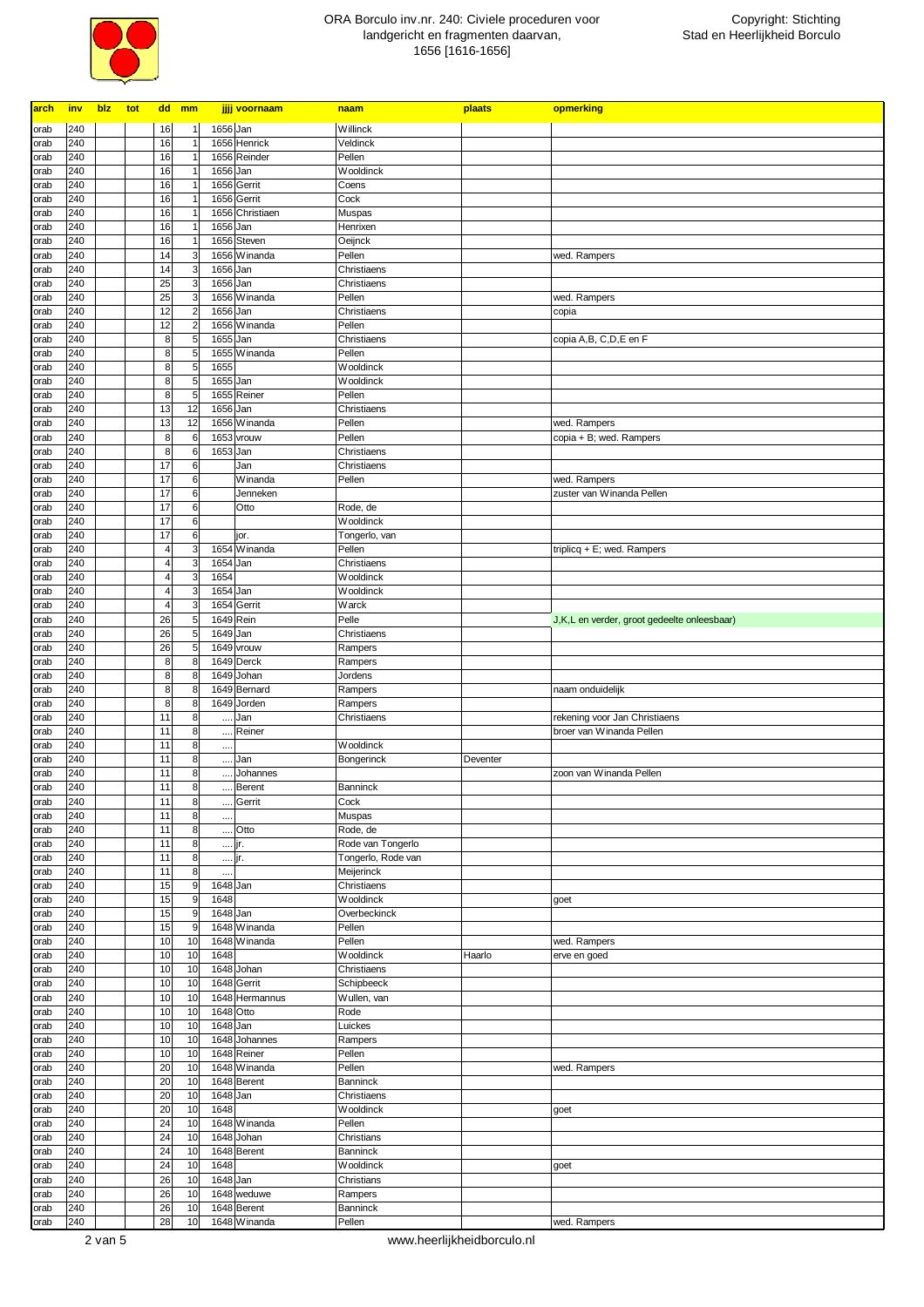

| arch         | inv        | blz | tot |                | dd mm |                                           | jjjj voornaam                  | naam                                    | plaats   | opmerking                                   |
|--------------|------------|-----|-----|----------------|-------|-------------------------------------------|--------------------------------|-----------------------------------------|----------|---------------------------------------------|
| orab         | 240        |     |     | 16             |       | $\overline{1}$                            | 1656 Jan                       | Willinck                                |          |                                             |
| orab         | 240        |     |     | 16             |       | $\overline{1}$                            | 1656 Henrick                   | Veldinck                                |          |                                             |
| orab         | 240        |     |     | 16             |       |                                           | 1656 Reinder                   | Pellen                                  |          |                                             |
| orab         | 240        |     |     | 16             |       |                                           | 1656 Jan                       | Wooldinck                               |          |                                             |
| orab         | 240        |     |     | 16             |       |                                           | 1656 Gerrit                    | Coens                                   |          |                                             |
| orab         | 240<br>240 |     |     | 16<br>16       |       | $\overline{1}$                            | 1656 Gerrit<br>1656 Christiaen | Cock                                    |          |                                             |
| orab<br>orab | 240        |     |     | 16             |       | $\overline{1}$                            | 1656 Jan                       | Muspas<br>Henrixen                      |          |                                             |
| orab         | 240        |     |     | 16             |       | $\overline{1}$                            | 1656 Steven                    | Oeijnck                                 |          |                                             |
| orab         | 240        |     |     | 14             |       | 3                                         | 1656 Winanda                   | Pellen                                  |          | wed. Rampers                                |
| orab         | 240        |     |     | 14             |       | 3                                         | 1656 Jan                       | Christiaens                             |          |                                             |
| orab         | 240        |     |     | 25             |       | 3                                         | 1656 Jan                       | Christiaens                             |          |                                             |
| orab         | 240        |     |     | 25             |       | 3                                         | 1656 Winanda<br>1656 Jan       | Pellen                                  |          | wed. Rampers                                |
| orab<br>orab | 240<br>240 |     |     | 12<br>12       |       | $\overline{c}$<br>$\overline{\mathbf{c}}$ | 1656 Winanda                   | Christiaens<br>Pellen                   |          | copia                                       |
| orab         | 240        |     |     | 8              |       | 5                                         | 1655 Jan                       | Christiaens                             |          | copia A,B, C,D,E en F                       |
| orab         | 240        |     |     | 8              |       | 5                                         | 1655 Winanda                   | Pellen                                  |          |                                             |
| orab         | 240        |     |     | 8              |       | 5                                         | 1655                           | Wooldinck                               |          |                                             |
| orab         | 240        |     |     | 8              |       | 5                                         | 1655 Jan                       | Wooldinck                               |          |                                             |
| orab         | 240        |     |     | 8              |       | 5                                         | 1655 Reiner                    | Pellen                                  |          |                                             |
| orab         | 240        |     |     | 13             |       | 12                                        | 1656 Jan                       | Christiaens                             |          |                                             |
| orab<br>orab | 240<br>240 |     |     | 13<br>8        |       | 12<br>6                                   | 1656 Winanda<br>1653 vrouw     | Pellen<br>Pellen                        |          | wed. Rampers<br>copia + B; wed. Rampers     |
| orab         | 240        |     |     | 8              |       | 6                                         | 1653 Jan                       | Christiaens                             |          |                                             |
| orab         | 240        |     |     | 17             |       | 6                                         | Jan                            | Christiaens                             |          |                                             |
| orab         | 240        |     |     | 17             |       | 6                                         | Winanda                        | Pellen                                  |          | wed. Rampers                                |
| orab         | 240        |     |     | 17             |       | 6                                         | Jenneken                       |                                         |          | zuster van Winanda Pellen                   |
| orab         | 240        |     |     | 17             |       | 6                                         | Otto                           | Rode, de                                |          |                                             |
| orab         | 240<br>240 |     |     | 17<br>17       |       | 6<br>6                                    |                                | Wooldinck<br>Tongerlo, van              |          |                                             |
| orab<br>orab | 240        |     |     | 4              |       | 3                                         | jor.<br>1654 Winanda           | Pellen                                  |          | triplicq + E; wed. Rampers                  |
| orab         | 240        |     |     | 4              |       | 3                                         | 1654 Jan                       | Christiaens                             |          |                                             |
| orab         | 240        |     |     | $\overline{4}$ |       | 3                                         | 1654                           | Wooldinck                               |          |                                             |
| orab         | 240        |     |     | 4              |       | 3                                         | 1654 Jan                       | Wooldinck                               |          |                                             |
| orab         | 240        |     |     | $\overline{4}$ |       | 3                                         | 1654 Gerrit                    | Warck                                   |          |                                             |
| orab         | 240        |     |     | 26             |       | 5                                         | 1649 Rein                      | Pelle                                   |          | J,K,L en verder, groot gedeelte onleesbaar) |
| orab<br>orab | 240<br>240 |     |     | 26<br>26       |       | 5<br>5                                    | 1649 Jan<br>1649 vrouw         | Christiaens<br>Rampers                  |          |                                             |
| orab         | 240        |     |     | 8              |       | 8                                         | 1649 Derck                     | Rampers                                 |          |                                             |
| orab         | 240        |     |     | 8              |       | 8                                         | 1649 Johan                     | Jordens                                 |          |                                             |
| orab         | 240        |     |     | 8              |       | 8                                         | 1649 Bernard                   | Rampers                                 |          | naam onduidelijk                            |
| orab         | 240        |     |     | 8              |       | 8                                         | 1649 Jorden                    | Rampers                                 |          |                                             |
| orab         | 240        |     |     | 11             |       | 8                                         | Jan<br>                        | Christiaens                             |          | rekening voor Jan Christiaens               |
| orab         | 240<br>240 |     |     | 11             |       | 8<br>8                                    | Reiner<br>                     |                                         |          | broer van Winanda Pellen                    |
| orab<br>orab | 240        |     |     | 11<br>11       |       | 8                                         | $\cdots$<br>Jan<br>$\cdots$    | Wooldinck<br>Bongerinck                 | Deventer |                                             |
| orab         | 240        |     |     | 11             |       | 8                                         | Johannes<br>$\cdots$           |                                         |          | zoon van Winanda Pellen                     |
| orab         | 240        |     |     | 11             |       | 8                                         | Berent<br>$\cdots$             | Banninck                                |          |                                             |
| orab         | 240        |     |     | 11             |       | 8                                         | Gerrit<br>                     | Cock                                    |          |                                             |
| orab         | 240        |     |     | 11             |       | $\bf 8$                                   |                                | Muspas                                  |          |                                             |
| orab         | 240        |     |     | 11             |       | 8                                         | Otto<br>$\cdots$               | Rode, de                                |          |                                             |
| orab<br>orab | 240<br>240 |     |     | 11<br>11       |       | $\bf8$<br>$\bf 8$                         | jr.<br>jr.                     | Rode van Tongerlo<br>Tongerlo, Rode van |          |                                             |
| orab         | 240        |     |     | 11             |       | $\bf8$                                    | $\cdots$<br>                   | Meijerinck                              |          |                                             |
| orab         | 240        |     |     | 15             |       | 9                                         | 1648 Jan                       | Christiaens                             |          |                                             |
| orab         | 240        |     |     | 15             |       | 9                                         | 1648                           | Wooldinck                               |          | goet                                        |
| orab         | 240        |     |     | 15             |       | 9                                         | 1648 Jan                       | Overbeckinck                            |          |                                             |
| orab         | 240        |     |     | 15             |       | 9                                         | 1648 Winanda                   | Pellen                                  |          |                                             |
| orab<br>orab | 240<br>240 |     |     | 10<br>10       |       | 10<br>10                                  | 1648 Winanda<br>1648           | Pellen<br>Wooldinck                     | Haarlo   | wed. Rampers<br>erve en goed                |
| orab         | 240        |     |     | 10             |       | 10                                        | 1648 Johan                     | Christiaens                             |          |                                             |
| orab         | 240        |     |     | 10             |       | 10                                        | 1648 Gerrit                    | Schipbeeck                              |          |                                             |
| orab         | 240        |     |     | 10             |       | 10                                        | 1648 Hermannus                 | Wullen, van                             |          |                                             |
| orab         | 240        |     |     | 10             |       | 10                                        | 1648 Otto                      | Rode                                    |          |                                             |
| orab         | 240        |     |     | 10             |       | 10                                        | 1648 Jan                       | Luickes                                 |          |                                             |
| orab         | 240        |     |     | 10             |       | 10                                        | 1648 Johannes                  | Rampers                                 |          |                                             |
| orab<br>orab | 240<br>240 |     |     | 10<br>20       |       | 10<br>10                                  | 1648 Reiner<br>1648 Winanda    | Pellen<br>Pellen                        |          | wed. Rampers                                |
| orab         | 240        |     |     | 20             |       | 10                                        | 1648 Berent                    | Banninck                                |          |                                             |
| orab         | 240        |     |     | 20             |       | 10                                        | 1648 Jan                       | Christiaens                             |          |                                             |
| orab         | 240        |     |     | 20             |       | 10                                        | 1648                           | Wooldinck                               |          | goet                                        |
| orab         | 240        |     |     | 24             |       | 10                                        | 1648 Winanda                   | Pellen                                  |          |                                             |
| orab         | 240        |     |     | 24             |       | 10                                        | 1648 Johan                     | Christians                              |          |                                             |
| orab         | 240        |     |     | 24             |       | 10                                        | 1648 Berent<br>1648            | Banninck                                |          |                                             |
| orab<br>orab | 240<br>240 |     |     | 24<br>26       |       | 10<br>10                                  | 1648 Jan                       | Wooldinck<br>Christians                 |          | goet                                        |
| orab         | 240        |     |     | 26             |       | 10                                        | 1648 weduwe                    | Rampers                                 |          |                                             |
| orab         | 240        |     |     | 26             |       | 10                                        | 1648 Berent                    | Banninck                                |          |                                             |
| orab         | 240        |     |     | 28             |       | 10                                        | 1648 Winanda                   | Pellen                                  |          | wed. Rampers                                |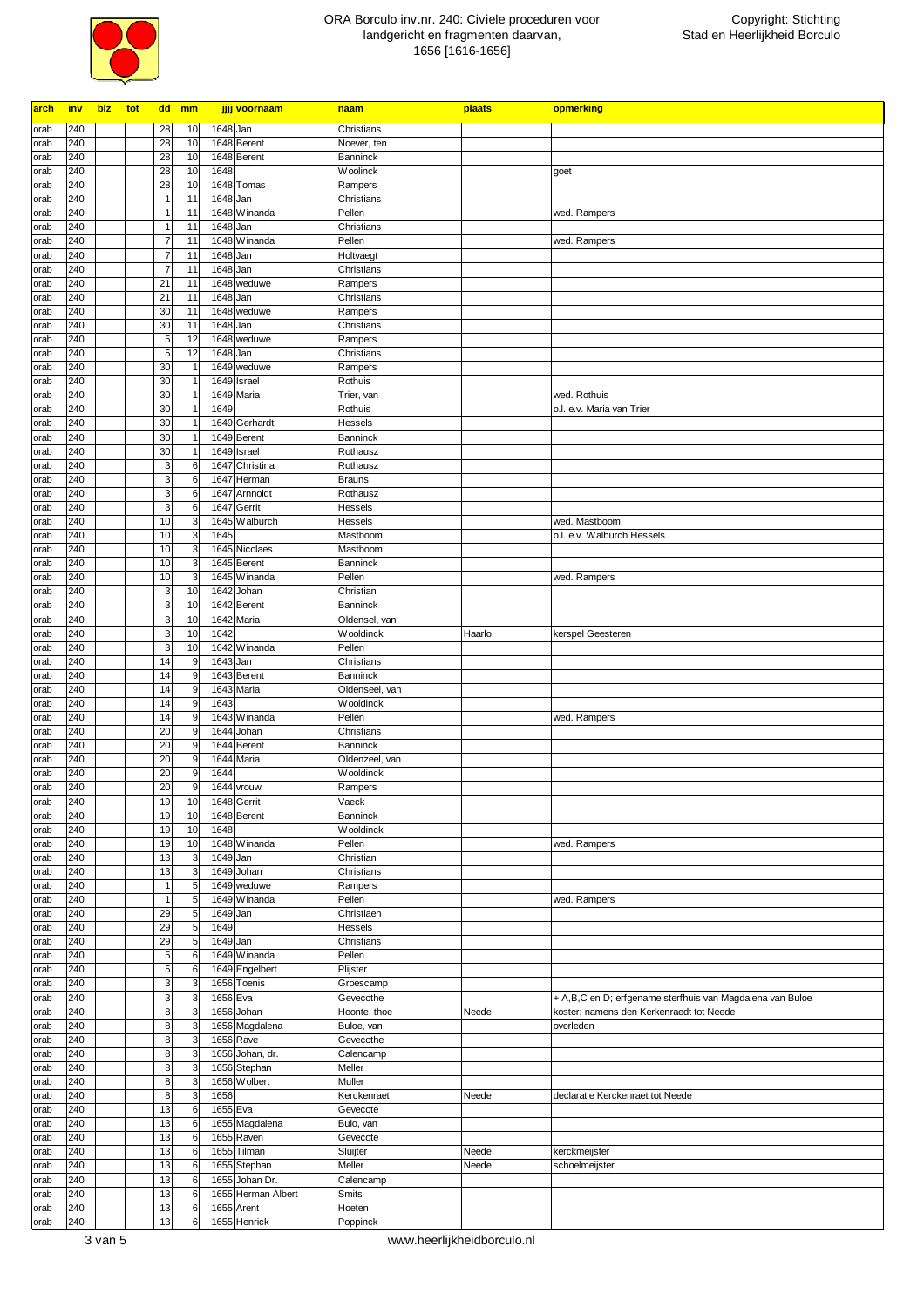

| arch         | inv        | blz | tot |                                | dd mm    |                              | jjjj voornaam                | naam                              | plaats | opmerking                                                 |
|--------------|------------|-----|-----|--------------------------------|----------|------------------------------|------------------------------|-----------------------------------|--------|-----------------------------------------------------------|
| orab         | 240        |     |     | 28                             | 10       |                              | 1648 Jan                     | Christians                        |        |                                                           |
| orab         | 240        |     |     | 28                             | 10       |                              | 1648 Berent                  | Noever, ten                       |        |                                                           |
| orab         | 240        |     |     | 28                             | 10       |                              | 1648 Berent                  | Banninck                          |        |                                                           |
| orab         | 240        |     |     | 28                             | 10       |                              | 1648                         | <b>Woolinck</b>                   |        | goet                                                      |
| orab         | 240        |     |     | 28                             | 10       |                              | 1648 Tomas                   | Rampers                           |        |                                                           |
| orab<br>orab | 240<br>240 |     |     | $\overline{1}$<br>$\mathbf{1}$ | 11<br>11 |                              | 1648 Jan<br>1648 Winanda     | Christians<br>Pellen              |        | wed. Rampers                                              |
| orab         | 240        |     |     | $\mathbf{1}$                   | 11       |                              | 1648 Jan                     | Christians                        |        |                                                           |
| orab         | 240        |     |     | $\overline{\mathcal{I}}$       | 11       |                              | 1648 Winanda                 | Pellen                            |        | wed. Rampers                                              |
| orab         | 240        |     |     | $\overline{\mathcal{I}}$       | 11       |                              | 1648 Jan                     | Holtvaegt                         |        |                                                           |
| orab         | 240        |     |     | $\overline{7}$                 | 11       |                              | 1648 Jan                     | Christians                        |        |                                                           |
| orab         | 240        |     |     | 21                             | 11       |                              | 1648 weduwe                  | Rampers                           |        |                                                           |
| orab         | 240        |     |     | 21<br>30                       | 11<br>11 |                              | 1648 Jan<br>1648 weduwe      | Christians                        |        |                                                           |
| orab<br>orab | 240<br>240 |     |     | 30                             | 11       |                              | 1648 Jan                     | Rampers<br>Christians             |        |                                                           |
| orab         | 240        |     |     | 5                              | 12       |                              | 1648 weduwe                  | Rampers                           |        |                                                           |
| orab         | 240        |     |     | 5                              | 12       |                              | 1648 Jan                     | Christians                        |        |                                                           |
| orab         | 240        |     |     | 30                             |          | $\overline{1}$               | 1649 weduwe                  | Rampers                           |        |                                                           |
| orab         | 240        |     |     | 30                             |          | $\overline{1}$               | 1649 Israel                  | Rothuis                           |        |                                                           |
| orab         | 240        |     |     | 30                             |          | $\overline{1}$               | 1649 Maria<br>1649           | Trier, van                        |        | wed. Rothuis                                              |
| orab<br>orab | 240<br>240 |     |     | 30<br>30                       |          | $\mathbf{1}$<br>$\mathbf{1}$ | 1649 Gerhardt                | Rothuis<br>Hessels                |        | o.l. e.v. Maria van Trier                                 |
| orab         | 240        |     |     | 30                             |          | $\mathbf{1}$                 | 1649 Berent                  | Banninck                          |        |                                                           |
| orab         | 240        |     |     | 30                             |          | $\mathbf{1}$                 | 1649 Israel                  | Rothausz                          |        |                                                           |
| orab         | 240        |     |     | 3                              |          | 6                            | 1647 Christina               | Rothausz                          |        |                                                           |
| orab         | 240        |     |     | 3                              |          | 6                            | 1647 Herman                  | <b>Brauns</b>                     |        |                                                           |
| orab         | 240        |     |     | 3                              |          | 6                            | 1647 Arnnoldt                | Rothausz                          |        |                                                           |
| orab         | 240<br>240 |     |     | 3<br>10                        |          | 6<br>3                       | 1647 Gerrit<br>1645 Walburch | Hessels<br>Hessels                |        | wed. Mastboom                                             |
| orab<br>orab | 240        |     |     | 10                             |          | 3                            | 1645                         | Mastboom                          |        | o.l. e.v. Walburch Hessels                                |
| orab         | 240        |     |     | 10                             |          | 3                            | 1645 Nicolaes                | Mastboom                          |        |                                                           |
| orab         | 240        |     |     | 10                             |          | 3                            | 1645 Berent                  | <b>Banninck</b>                   |        |                                                           |
| orab         | 240        |     |     | 10                             |          | 3                            | 1645 Winanda                 | Pellen                            |        | wed. Rampers                                              |
| orab         | 240        |     |     | 3                              | 10       |                              | 1642 Johan                   | Christian                         |        |                                                           |
| orab         | 240        |     |     | 3                              | 10       |                              | 1642 Berent                  | Banninck                          |        |                                                           |
| orab<br>orab | 240<br>240 |     |     | 3<br>3                         | 10<br>10 |                              | 1642 Maria<br>1642           | Oldensel, van<br><b>Wooldinck</b> | Haarlo | kerspel Geesteren                                         |
| orab         | 240        |     |     | 3                              | 10       |                              | 1642 Winanda                 | Pellen                            |        |                                                           |
| orab         | 240        |     |     | 14                             |          | 9                            | 1643 Jan                     | Christians                        |        |                                                           |
| orab         | 240        |     |     | 14                             |          | 9                            | 1643 Berent                  | <b>Banninck</b>                   |        |                                                           |
| orab         | 240        |     |     | 14                             |          | 9                            | 1643 Maria                   | Oldenseel, van                    |        |                                                           |
| orab         | 240        |     |     | 14                             |          | 9                            | 1643                         | Wooldinck                         |        |                                                           |
| orab<br>orab | 240<br>240 |     |     | 14<br>20                       |          | 9<br>9                       | 1643 Winanda<br>1644 Johan   | Pellen<br>Christians              |        | wed. Rampers                                              |
| orab         | 240        |     |     | 20                             |          | 9                            | 1644 Berent                  | <b>Banninck</b>                   |        |                                                           |
| orab         | 240        |     |     | 20                             |          | 9                            | 1644 Maria                   | Oldenzeel, van                    |        |                                                           |
| orab         | 240        |     |     | 20                             |          | 9                            | 1644                         | <b>Wooldinck</b>                  |        |                                                           |
| orab         | 240        |     |     | 20                             |          | 9                            | 1644 vrouw                   | Rampers                           |        |                                                           |
| orab         | 240        |     |     | 19                             | 10       |                              | 1648 Gerrit                  | Vaeck                             |        |                                                           |
| orab<br>orab | 240<br>240 |     |     | 19<br>19                       | 10<br>10 |                              | 1648 Berent<br>1648          | <b>Banninck</b><br>Wooldinck      |        |                                                           |
| orab         | 240        |     |     | 19                             | 10       |                              | 1648 Winanda                 | Pellen                            |        | wed. Rampers                                              |
| orab         | 240        |     |     | 13                             |          | 3                            | 1649 Jan                     | Christian                         |        |                                                           |
| orab         | 240        |     |     | 13                             |          | 3                            | 1649 Johan                   | Christians                        |        |                                                           |
| orab         | 240        |     |     | $\overline{1}$                 |          | 5                            | 1649 weduwe                  | Rampers                           |        |                                                           |
| orab         | 240        |     |     | $\mathbf{1}$                   |          | 5                            | 1649 Winanda                 | Pellen                            |        | wed. Rampers                                              |
| orab         | 240<br>240 |     |     | 29                             |          | 5                            | 1649 Jan<br>1649             | Christiaen                        |        |                                                           |
| orab<br>orab | 240        |     |     | 29<br>29                       |          | 5<br>5                       | 1649 Jan                     | Hessels<br>Christians             |        |                                                           |
| orab         | 240        |     |     | 5                              |          | 6                            | 1649 Winanda                 | Pellen                            |        |                                                           |
| orab         | 240        |     |     | 5                              |          | 6                            | 1649 Engelbert               | Plijster                          |        |                                                           |
| orab         | 240        |     |     | 3                              |          | 3                            | 1656 Toenis                  | Groescamp                         |        |                                                           |
| orab         | 240        |     |     | 3                              |          | 3                            | 1656 Eva                     | Gevecothe                         |        | + A,B,C en D; erfgename sterfhuis van Magdalena van Buloe |
| orab         | 240        |     |     | 8                              |          | 3                            | 1656 Johan                   | Hoonte, thoe                      | Neede  | koster; namens den Kerkenraedt tot Neede                  |
| orab<br>orab | 240<br>240 |     |     | 8<br>8                         |          | 3<br>3                       | 1656 Magdalena<br>1656 Rave  | Buloe, van<br>Gevecothe           |        | overleden                                                 |
| orab         | 240        |     |     | 8                              |          | 3                            | 1656 Johan, dr.              | Calencamp                         |        |                                                           |
| orab         | 240        |     |     | 8                              |          | 3                            | 1656 Stephan                 | Meller                            |        |                                                           |
| orab         | 240        |     |     | 8                              |          | 3                            | 1656 Wolbert                 | Muller                            |        |                                                           |
| orab         | 240        |     |     | $\bf 8$                        |          | 3                            | 1656                         | Kerckenraet                       | Neede  | declaratie Kerckenraet tot Neede                          |
| orab         | 240        |     |     | 13                             |          | 6                            | 1655 Eva                     | Gevecote                          |        |                                                           |
| orab         | 240<br>240 |     |     | 13<br>13                       |          | 6<br>6                       | 1655 Magdalena<br>1655 Raven | Bulo, van                         |        |                                                           |
| orab<br>orab | 240        |     |     | 13                             |          | 6                            | 1655 Tilman                  | Gevecote<br>Sluijter              | Neede  | kerckmeijster                                             |
| orab         | 240        |     |     | 13                             |          | 6                            | 1655 Stephan                 | Meller                            | Neede  | schoelmeijster                                            |
| orab         | 240        |     |     | 13                             |          | 6                            | 1655 Johan Dr.               | Calencamp                         |        |                                                           |
| orab         | 240        |     |     | 13                             |          | 6                            | 1655 Herman Albert           | Smits                             |        |                                                           |
| orab         | 240        |     |     | 13                             |          | 6                            | 1655 Arent                   | Hoeten                            |        |                                                           |
| orab         | 240        |     |     | 13                             |          | 6                            | 1655 Henrick                 | Poppinck                          |        |                                                           |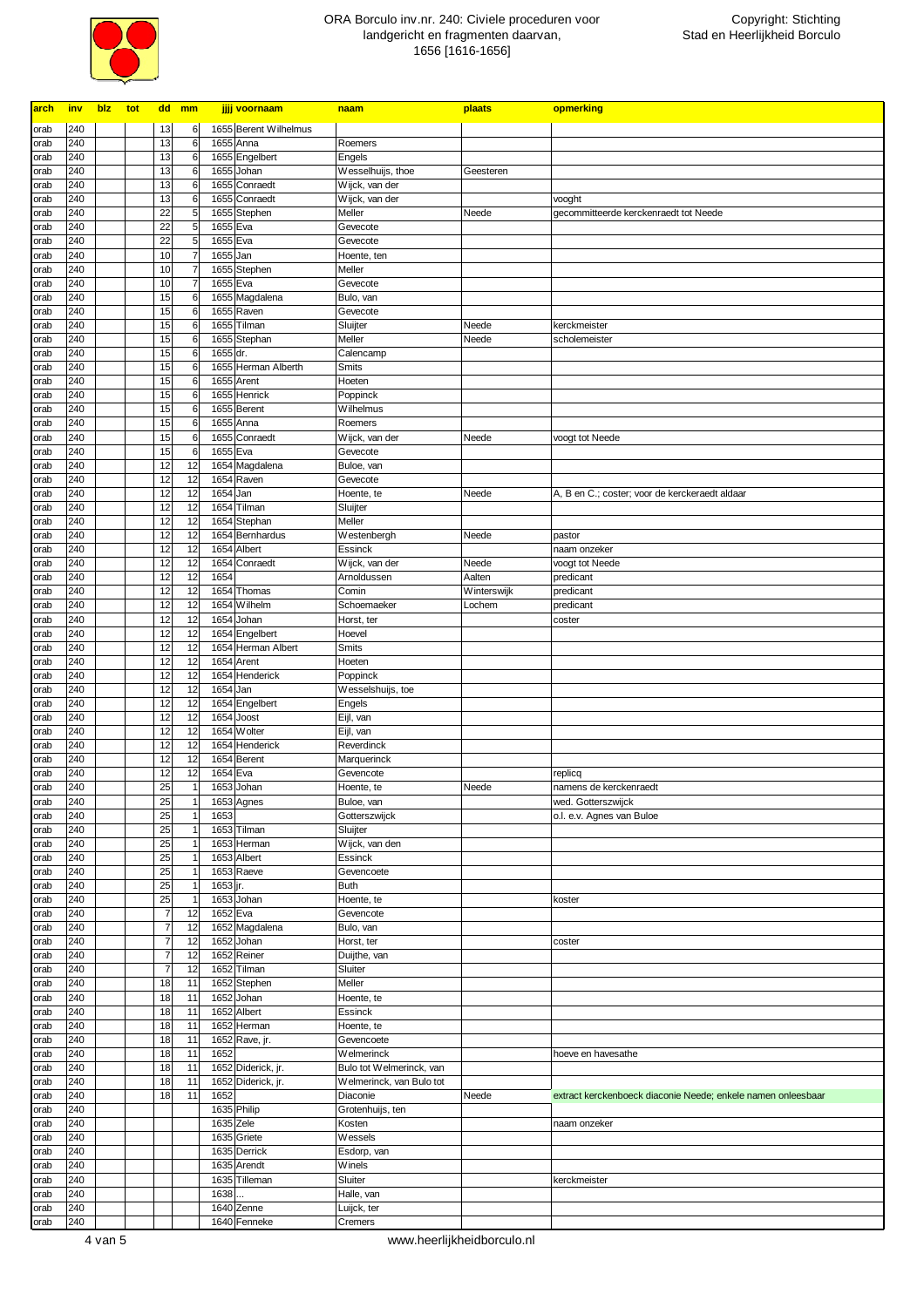

| arch         | inv        | blz | tot |                      | dd mm |                                  | jjjj voornaam                            | naam                                   | plaats      | opmerking                                                    |
|--------------|------------|-----|-----|----------------------|-------|----------------------------------|------------------------------------------|----------------------------------------|-------------|--------------------------------------------------------------|
| orab         | 240        |     |     | 13                   |       | 6                                | 1655 Berent Wilhelmus                    |                                        |             |                                                              |
| orab         | 240        |     |     | 13                   |       | 6                                | 1655 Anna                                | Roemers                                |             |                                                              |
| orab         | 240        |     |     | 13                   |       | 6                                | 1655 Engelbert                           | Engels                                 |             |                                                              |
| orab         | 240        |     |     | 13                   |       | 6                                | 1655 Johan                               | Wesselhuijs, thoe                      | Geesteren   |                                                              |
| orab<br>orab | 240<br>240 |     |     | 13<br>13             |       | 6<br>6                           | 1655 Conraedt<br>1655 Conraedt           | Wijck, van der<br>Wijck, van der       |             | vooght                                                       |
| orab         | 240        |     |     | 22                   |       | 5                                | 1655 Stephen                             | Meller                                 | Neede       | gecommitteerde kerckenraedt tot Neede                        |
| orab         | 240        |     |     | 22                   |       | 5                                | 1655 Eva                                 | Gevecote                               |             |                                                              |
| orab         | 240        |     |     | 22                   |       | 5                                | 1655 Eva                                 | Gevecote                               |             |                                                              |
| orab         | 240        |     |     | 10                   |       | $\overline{7}$                   | 1655 Jan                                 | Hoente, ten                            |             |                                                              |
| orab         | 240<br>240 |     |     | 10<br>10             |       | $\overline{7}$<br>$\overline{7}$ | 1655 Stephen<br>1655 Eva                 | Meller                                 |             |                                                              |
| orab<br>orab | 240        |     |     | 15                   |       | 6                                | 1655 Magdalena                           | Gevecote<br>Bulo, van                  |             |                                                              |
| orab         | 240        |     |     | 15                   |       | 6                                | 1655 Raven                               | Gevecote                               |             |                                                              |
| orab         | 240        |     |     | 15                   |       | 6                                | 1655 Tilman                              | Sluijter                               | Neede       | kerckmeister                                                 |
| orab         | 240        |     |     | 15                   |       | 6                                | 1655 Stephan                             | Meller                                 | Neede       | scholemeister                                                |
| orab         | 240<br>240 |     |     | 15<br>15             |       | 6<br>6                           | 1655 dr.<br>1655 Herman Alberth          | Calencamp                              |             |                                                              |
| orab<br>orab | 240        |     |     | 15                   |       | 6                                | 1655 Arent                               | Smits<br>Hoeten                        |             |                                                              |
| orab         | 240        |     |     | 15                   |       | 6                                | 1655 Henrick                             | Poppinck                               |             |                                                              |
| orab         | 240        |     |     | 15                   |       | 6                                | 1655 Berent                              | Wilhelmus                              |             |                                                              |
| orab         | 240        |     |     | 15                   |       | 6                                | 1655 Anna                                | Roemers                                |             |                                                              |
| orab         | 240        |     |     | 15                   |       | 6                                | 1655 Conraedt                            | Wijck, van der                         | Neede       | voogt tot Neede                                              |
| orab<br>orab | 240<br>240 |     |     | 15<br>12             |       | 6<br>12                          | 1655 Eva<br>1654 Magdalena               | Gevecote<br>Buloe, van                 |             |                                                              |
| orab         | 240        |     |     | 12                   |       | 12                               | 1654 Raven                               | Gevecote                               |             |                                                              |
| orab         | 240        |     |     | 12                   |       | 12                               | 1654 Jan                                 | Hoente, te                             | Neede       | A, B en C.; coster; voor de kerckeraedt aldaar               |
| orab         | 240        |     |     | 12                   |       | 12                               | 1654 Tilman                              | Sluijter                               |             |                                                              |
| orab         | 240        |     |     | 12                   |       | 12                               | 1654 Stephan                             | Meller                                 |             |                                                              |
| orab<br>orab | 240<br>240 |     |     | 12<br>12             |       | 12<br>12                         | 1654 Bernhardus<br>1654 Albert           | Westenbergh<br>Essinck                 | Neede       | pastor<br>naam onzeker                                       |
| orab         | 240        |     |     | 12                   |       | 12                               | 1654 Conraedt                            | Wijck, van der                         | Neede       | voogt tot Neede                                              |
| orab         | 240        |     |     | 12                   |       | 12                               | 1654                                     | Arnoldussen                            | Aalten      | predicant                                                    |
| orab         | 240        |     |     | 12                   |       | 12                               | 1654 Thomas                              | Comin                                  | Winterswijk | predicant                                                    |
| orab         | 240        |     |     | 12                   |       | 12                               | 1654 Wilhelm                             | Schoemaeker                            | Lochem      | predicant                                                    |
| orab<br>orab | 240<br>240 |     |     | 12<br>12             |       | 12<br>12                         | 1654 Johan<br>1654 Engelbert             | Horst, ter<br>Hoevel                   |             | coster                                                       |
| orab         | 240        |     |     | 12                   |       | 12                               | 1654 Herman Albert                       | Smits                                  |             |                                                              |
| orab         | 240        |     |     | 12                   |       | 12                               | 1654 Arent                               | Hoeten                                 |             |                                                              |
| orab         | 240        |     |     | 12                   |       | 12                               | 1654 Henderick                           | Poppinck                               |             |                                                              |
| orab         | 240        |     |     | 12                   |       | 12                               | 1654 Jan                                 | Wesselshuijs, toe                      |             |                                                              |
| orab<br>orab | 240<br>240 |     |     | 12<br>12             |       | 12<br>12                         | 1654 Engelbert<br>1654 Joost             | Engels<br>Eijl, van                    |             |                                                              |
| orab         | 240        |     |     | 12                   |       | 12                               | 1654 Wolter                              | Eijl, van                              |             |                                                              |
| orab         | 240        |     |     | 12                   |       | 12                               | 1654 Henderick                           | Reverdinck                             |             |                                                              |
| orab         | 240        |     |     | 12                   |       | 12                               | 1654 Berent                              | Marquerinck                            |             |                                                              |
| orab         | 240        |     |     | 12                   |       | 12                               | 1654 Eva                                 | Gevencote                              |             | replicq                                                      |
| orab         | 240        |     |     | 25                   |       | $\overline{1}$                   | 1653 Johan                               | Hoente, te                             | Neede       | namens de kerckenraedt                                       |
| orab<br>orab | 240<br>240 |     |     | 25<br>25             |       | $\mathbf 1$<br>$\overline{1}$    | 1653 Agnes<br>1653                       | Buloe, van<br>Gotterszwijck            |             | wed. Gotterszwijck<br>o.l. e.v. Agnes van Buloe              |
| orab         | 240        |     |     | 25                   |       | $\overline{1}$                   | 1653 Tilman                              | Sluijter                               |             |                                                              |
| orab         | 240        |     |     | 25                   |       | $\overline{1}$                   | 1653 Herman                              | Wijck, van den                         |             |                                                              |
| orab         | 240        |     |     | 25                   |       | $\overline{1}$                   | 1653 Albert                              | Essinck                                |             |                                                              |
| orab         | 240        |     |     | 25                   |       | $\overline{1}$                   | 1653 Raeve                               | Gevencoete                             |             |                                                              |
| orab<br>orab | 240<br>240 |     |     | 25<br>25             |       | $\overline{1}$<br>$\overline{1}$ | $\overline{1653}$ jr.<br>1653 Johan      | Buth<br>Hoente, te                     |             | koster                                                       |
| orab         | 240        |     |     | $\overline{7}$       |       | 12                               | 1652 Eva                                 | Gevencote                              |             |                                                              |
| orab         | 240        |     |     | $\overline{7}$       |       | 12                               | 1652 Magdalena                           | Bulo, van                              |             |                                                              |
| orab         | 240        |     |     | $\overline{7}$       |       | 12                               | 1652 Johan                               | Horst, ter                             |             | coster                                                       |
| orab         | 240        |     |     | $\overline{7}$       |       | 12                               | 1652 Reiner                              | Duijthe, van                           |             |                                                              |
| orab<br>orab | 240<br>240 |     |     | $\overline{7}$<br>18 |       | 12<br>11                         | 1652 Tilman<br>1652 Stephen              | Sluiter<br>Meller                      |             |                                                              |
| orab         | 240        |     |     | 18                   |       | 11                               | 1652 Johan                               | Hoente, te                             |             |                                                              |
| orab         | 240        |     |     | 18                   |       | 11                               | 1652 Albert                              | Essinck                                |             |                                                              |
| orab         | 240        |     |     | 18                   |       | 11                               | 1652 Herman                              | Hoente, te                             |             |                                                              |
| orab         | 240        |     |     | 18                   |       | 11                               | 1652 Rave, jr.                           | Gevencoete                             |             |                                                              |
| orab         | 240<br>240 |     |     | 18<br>18             |       | 11<br>11                         | 1652                                     | Welmerinck<br>Bulo tot Welmerinck, van |             | hoeve en havesathe                                           |
| orab<br>orab | 240        |     |     | 18                   |       | 11                               | 1652 Diderick, jr.<br>1652 Diderick, jr. | Welmerinck, van Bulo tot               |             |                                                              |
| orab         | 240        |     |     | 18                   |       | 11                               | 1652                                     | Diaconie                               | Neede       | extract kerckenboeck diaconie Neede; enkele namen onleesbaar |
| orab         | 240        |     |     |                      |       |                                  | 1635 Philip                              | Grotenhuijs, ten                       |             |                                                              |
| orab         | 240        |     |     |                      |       |                                  | 1635 Zele                                | Kosten                                 |             | naam onzeker                                                 |
| orab         | 240        |     |     |                      |       |                                  | 1635 Griete                              | Wessels                                |             |                                                              |
| orab<br>orab | 240<br>240 |     |     |                      |       |                                  | 1635 Derrick<br>1635 Arendt              | Esdorp, van<br>Winels                  |             |                                                              |
| orab         | 240        |     |     |                      |       |                                  | 1635 Tilleman                            | Sluiter                                |             | kerckmeister                                                 |
| orab         | 240        |     |     |                      |       |                                  | 1638                                     | Halle, van                             |             |                                                              |
| orab         | 240        |     |     |                      |       |                                  | 1640 Zenne                               | Luijck, ter                            |             |                                                              |
| orab         | 240        |     |     |                      |       |                                  | 1640 Fenneke                             | Cremers                                |             |                                                              |